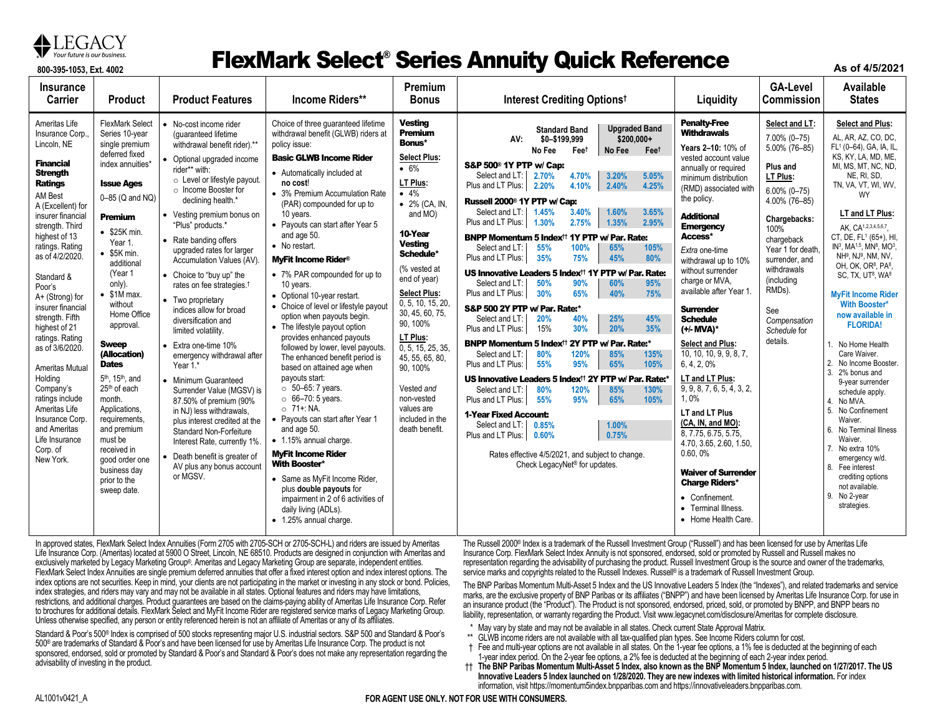

#### **87** Your future is our business. **ElexMark Select® Series Annuity Quick Reference**

**As of 4/5/2021**

| <b>Insurance</b><br><b>Carrier</b>                                                                                                                                                                                                                                                                                                                                                                                                                                                                                                            | <b>Product</b>                                                                                                                                                                                                                                                                                                                                                                                                                                                                                                                                                                     | <b>Product Features</b>                                                                                                                                                                                                                                                                                                                                                                                                                                                                                                                                                                                                                                                                                                                                                                                                                                                        | Income Riders**                                                                                                                                                                                                                                                                                                                                                                                                                                                                                                                                                                                                                                                                                                                                                                                                                                                                                                                                                                                                                                                         | Premium<br><b>Bonus</b>                                                                                                                                                                                                                                                                                                                                                                                                                       | Interest Crediting Options <sup>t</sup>                                                                                                                                                                                                                                                                                                                                                                                                                                                                                                                                                                                                                                                                                                                                                                                                                                                                                                                                                                                                                                                                                                                                                                                                                                                                                                                                                                                                                            | Liquidity                                                                                                                                                                                                                                                                                                                                                                                                                                                                                                                                                                                                                                                                                                                                                             | <b>GA-Level</b><br><b>Commission</b>                                                                                                                                                                                                                                              | Available<br><b>States</b>                                                                                                                                                                                                                                                                                                                                                                                                                                                                                                                                                                                                                                                                                                                                                                                                                                                                                    |
|-----------------------------------------------------------------------------------------------------------------------------------------------------------------------------------------------------------------------------------------------------------------------------------------------------------------------------------------------------------------------------------------------------------------------------------------------------------------------------------------------------------------------------------------------|------------------------------------------------------------------------------------------------------------------------------------------------------------------------------------------------------------------------------------------------------------------------------------------------------------------------------------------------------------------------------------------------------------------------------------------------------------------------------------------------------------------------------------------------------------------------------------|--------------------------------------------------------------------------------------------------------------------------------------------------------------------------------------------------------------------------------------------------------------------------------------------------------------------------------------------------------------------------------------------------------------------------------------------------------------------------------------------------------------------------------------------------------------------------------------------------------------------------------------------------------------------------------------------------------------------------------------------------------------------------------------------------------------------------------------------------------------------------------|-------------------------------------------------------------------------------------------------------------------------------------------------------------------------------------------------------------------------------------------------------------------------------------------------------------------------------------------------------------------------------------------------------------------------------------------------------------------------------------------------------------------------------------------------------------------------------------------------------------------------------------------------------------------------------------------------------------------------------------------------------------------------------------------------------------------------------------------------------------------------------------------------------------------------------------------------------------------------------------------------------------------------------------------------------------------------|-----------------------------------------------------------------------------------------------------------------------------------------------------------------------------------------------------------------------------------------------------------------------------------------------------------------------------------------------------------------------------------------------------------------------------------------------|--------------------------------------------------------------------------------------------------------------------------------------------------------------------------------------------------------------------------------------------------------------------------------------------------------------------------------------------------------------------------------------------------------------------------------------------------------------------------------------------------------------------------------------------------------------------------------------------------------------------------------------------------------------------------------------------------------------------------------------------------------------------------------------------------------------------------------------------------------------------------------------------------------------------------------------------------------------------------------------------------------------------------------------------------------------------------------------------------------------------------------------------------------------------------------------------------------------------------------------------------------------------------------------------------------------------------------------------------------------------------------------------------------------------------------------------------------------------|-----------------------------------------------------------------------------------------------------------------------------------------------------------------------------------------------------------------------------------------------------------------------------------------------------------------------------------------------------------------------------------------------------------------------------------------------------------------------------------------------------------------------------------------------------------------------------------------------------------------------------------------------------------------------------------------------------------------------------------------------------------------------|-----------------------------------------------------------------------------------------------------------------------------------------------------------------------------------------------------------------------------------------------------------------------------------|---------------------------------------------------------------------------------------------------------------------------------------------------------------------------------------------------------------------------------------------------------------------------------------------------------------------------------------------------------------------------------------------------------------------------------------------------------------------------------------------------------------------------------------------------------------------------------------------------------------------------------------------------------------------------------------------------------------------------------------------------------------------------------------------------------------------------------------------------------------------------------------------------------------|
| Ameritas Life<br>Insurance Corp<br>Lincoln, NE<br><b>Financial</b><br><b>Strength</b><br><b>Ratings</b><br>AM Best<br>A (Excellent) for<br>insurer financial<br>strength. Third<br>highest of 13<br>ratings. Rating<br>as of 4/2/2020.<br>Standard &<br>Poor's<br>A+ (Strong) for<br>insurer financial<br>strength. Fifth<br>highest of 21<br>ratings. Rating<br>as of 3/6/2020.<br>Ameritas Mutual<br>Holding<br>Company's<br>ratings include<br>Ameritas Life<br>Insurance Corp.<br>and Ameritas<br>Life Insurance<br>Corp. of<br>New York. | <b>FlexMark Select</b><br>Series 10-year<br>single premium<br>deferred fixed<br>index annuities*<br><b>Issue Ages</b><br>0-85 (Q and NQ)<br><b>Premium</b><br>• \$25K min.<br>Year 1.<br>• \$5K min<br>additional<br>(Year 1<br>only).<br>$\bullet$ \$1M max.<br>without<br>Home Office<br>approval.<br><b>Sweep</b><br>(Allocation)<br><b>Dates</b><br>5 <sup>th</sup> , 15 <sup>th</sup> , and<br>25 <sup>th</sup> of each<br>month.<br>Applications.<br>requirements,<br>and premium<br>must be<br>received in<br>good order one<br>business day<br>prior to the<br>sweep date. | • No-cost income rider<br>(quaranteed lifetime<br>withdrawal benefit rider).**<br>• Optional upgraded income<br>rider** with:<br>o Level or lifestyle payout.<br>o Income Booster for<br>declining health.*<br>• Vesting premium bonus on<br>"Plus" products.*<br>• Rate banding offers<br>upgraded rates for larger<br>Accumulation Values (AV).<br>• Choice to "buy up" the<br>rates on fee strategies. <sup>†</sup><br>• Two proprietary<br>indices allow for broad<br>diversification and<br>limited volatility.<br>• Extra one-time 10%<br>emergency withdrawal after<br>Year 1.*<br>• Minimum Guaranteed<br>Surrender Value (MGSV) is<br>87.50% of premium (90%<br>in NJ) less withdrawals,<br>plus interest credited at the<br><b>Standard Non-Forfeiture</b><br>Interest Rate, currently 1%.<br>• Death benefit is greater of<br>AV plus any bonus account<br>or MGSV. | Choice of three quaranteed lifetime<br>withdrawal benefit (GLWB) riders at<br>policy issue:<br><b>Basic GLWB Income Rider</b><br>• Automatically included at<br>no cost!<br>• 3% Premium Accumulation Rate<br>(PAR) compounded for up to<br>10 years.<br>• Payouts can start after Year 5<br>and age 50.<br>• No restart.<br><b>MvFit Income Rider<sup>®</sup></b><br>• 7% PAR compounded for up to<br>10 years.<br>• Optional 10-year restart.<br>• Choice of level or lifestyle payout<br>option when payouts begin.<br>• The lifestyle payout option<br>provides enhanced payouts<br>followed by lower, level payouts.<br>The enhanced benefit period is<br>based on attained age when<br>payouts start:<br>$\circ$ 50-65: 7 years.<br>$\circ$ 66-70: 5 years.<br>$O$ 71+: NA.<br>• Payouts can start after Year 1<br>and age 50.<br>• 1.15% annual charge.<br><b>MyFit Income Rider</b><br><b>With Booster*</b><br>• Same as MyFit Income Rider,<br>plus double payouts for<br>impairment in 2 of 6 activities of<br>daily living (ADLs).<br>• 1.25% annual charge. | <b>Vesting</b><br><b>Premium</b><br>Bonus*<br><b>Select Plus:</b><br>• 6%<br>LT Plus:<br>$\bullet$ 4%<br>$\bullet$ 2% (CA, IN,<br>and MO)<br>10-Year<br><b>Vesting</b><br>Schedule*<br>(% vested at<br>end of year)<br><b>Select Plus:</b><br>0, 5, 10, 15, 20,<br>30, 45, 60, 75,<br>90, 100%<br>LT Plus:<br>0, 5, 15, 25, 35,<br>45, 55, 65, 80,<br>90, 100%<br>Vested and<br>non-vested<br>values are<br>included in the<br>death benefit. | <b>Upgraded Band</b><br><b>Standard Band</b><br>\$200,000+<br>AV:<br>\$0-\$199,999<br>No Fee<br>Feet<br>No Fee<br>Feet<br><b>S&amp;P 500<sup>®</sup> 1Y PTP w/ Cap:</b><br>4.70%<br>3.20%<br>5.05%<br>Select and LT:<br>2.70%<br>2.40%<br>4.25%<br>Plus and LT Plus:<br>2.20%<br>4.10%<br>Russell 2000 <sup>®</sup> 1Y PTP w/ Cap:<br>Select and LT:<br>1.45%<br>3.40%<br>1.60%<br>3.65%<br>Plus and LT Plus:<br>2.75%<br>1.35%<br>2.95%<br>1.30%<br>BNPP Momentum 5 Index <sup>††</sup> 1Y PTP w/ Par. Rate:<br>Select and LT:<br>55%<br>100%<br>65%<br>105%<br>Plus and LT Plus:<br>35%<br>75%<br>45%<br>80%<br>US Innovative Leaders 5 Index <sup>††</sup> 1Y PTP w/ Par. Rate:<br>Select and LT:<br>50%<br>90%<br>95%<br>60%<br>75%<br>Plus and LT Plus:<br>30%<br>65%<br>40%<br>S&P 500 2Y PTP w/ Par. Rate:*<br>25%<br>45%<br>Select and LT:<br>20%<br>40%<br>15%<br>30%<br>20%<br>Plus and LT Plus:<br><b>35%</b><br>BNPP Momentum 5 Index <sup>††</sup> 2Y PTP w/ Par. Rate:*<br>Select and LT:<br>80%<br>120%<br>85%<br>135%<br>Plus and LT Plus:<br>55%<br>95%<br>65%<br>105%<br>US Innovative Leaders 5 Index <sup>††</sup> 2Y PTP w/ Par. Rate:<br>Select and LT:<br>80%<br>120%<br>85%<br>130%<br>Plus and LT Plus:<br>55%<br>95%<br>65%<br>105%<br>1-Year Fixed Account:<br>Select and LT:<br>0.85%<br>1.00%<br>Plus and LT Plus:<br>0.60%<br>0.75%<br>Rates effective 4/5/2021, and subject to change.<br>Check LegacyNet <sup>®</sup> for updates. | <b>Penalty-Free</b><br>Withdrawals<br>Years 2-10: 10% of<br>vested account value<br>annually or required<br>minimum distribution<br>(RMD) associated with<br>the policy.<br><b>Additional</b><br><b>Emergency</b><br>Access*<br>Extra one-time<br>withdrawal up to 10%<br>without surrender<br>charge or MVA,<br>available after Year 1.<br><b>Surrender</b><br><b>Schedule</b><br>(+/- MVA)*<br><b>Select and Plus:</b><br>10, 10, 10, 9, 9, 8, 7,<br>6, 4, 2, 0%<br><b>LT and LT Plus:</b><br>9, 9, 8, 7, 6, 5, 4, 3, 2,<br>1.0%<br><b>LT and LT Plus</b><br>(CA, IN, and MO):<br>8, 7.75, 6.75, 5.75.<br>4.70, 3.65, 2.60, 1.50,<br>0.60,0%<br><b>Waiver of Surrender</b><br><b>Charge Riders*</b><br>• Confinement.<br>• Terminal Illness.<br>• Home Health Care. | Select and LT:<br>7.00% (0-75)<br>5.00% (76-85)<br>Plus and<br>LT Plus:<br>$6.00\%$ (0-75)<br>4.00% (76-85)<br>Chargebacks:<br>100%<br>chargeback<br>Year 1 for death<br>surrender, and<br>withdrawals<br>(includina<br>RMDs).<br>See<br>Compensation<br>Schedule for<br>details. | <b>Select and Plus:</b><br>AL. AR. AZ. CO. DC.<br>FL1 (0-64), GA, IA, IL,<br>KS, KY, LA, MD, ME,<br>MI, MS, MT, NC, ND,<br>NE, RI, SD,<br>TN, VA, VT, WI, WV,<br><b>WY</b><br>LT and LT Plus:<br>AK. CA1,2,3,4,5,6,7<br>CT, DE, FL <sup>1</sup> (65+), HI,<br>IN <sup>3</sup> , MA <sup>1,5</sup> , MN <sup>8</sup> , MO <sup>3</sup> ,<br>$NH9$ , NJ <sup>9</sup> , NM, NV,<br>OH, OK, OR <sup>8</sup> , PA <sup>8</sup> ,<br>SC, TX, UT <sup>8</sup> , WA <sup>8</sup><br><b>MyFit Income Rider</b><br><b>With Booster*</b><br>now available in<br><b>FLORIDA!</b><br>1. No Home Health<br>Care Waiver.<br>2. No Income Booster.<br>2% bonus and<br>3.<br>9-year surrender<br>schedule apply.<br>No MVA.<br>No Confinement<br>5.<br>Waiver.<br>6. No Terminal Illness<br>Waiver.<br>No extra 10%<br>emergency w/d.<br>8. Fee interest<br>crediting options<br>not available.<br>9. No 2-year<br>strategies. |

In approved states, FlexMark Select Index Annuities (Form 2705 with 2705-SCH or 2705-SCH-L) and riders are issued by Ameritas Life Insurance Corp. (Ameritas) located at 5900 O Street, Lincoln, NE 68510. Products are designed in conjunction with Ameritas and exclusively marketed by Legacy Marketing Group®. Ameritas and Legacy Marketing Group are separate, independent entities. FlexMark Select Index Annuities are single premium deferred annuities that offer a fixed interest option and index interest options. The index options are not securities. Keep in mind, your clients are not participating in the market or investing in any stock or bond. Policies, index strategies, and riders may vary and may not be available in all states. Optional features and riders may have limitations, restrictions, and additional charges. Product guarantees are based on the claims-paying ability of Ameritas Life Insurance Corp. Refer to brochures for additional details. FlexMark Select and MyFit Income Rider are registered service marks of Legacy Marketing Group. Unless otherwise specified, any person or entity referenced herein is not an affiliate of Ameritas or any of its affiliates.

Standard & Poor's 500® Index is comprised of 500 stocks representing major U.S. industrial sectors. S&P 500 and Standard & Poor's 500® are trademarks of Standard & Poor's and have been licensed for use by Ameritas Life Insurance Corp. The product is not sponsored, endorsed, sold or promoted by Standard & Poor's and Standard & Poor's does not make any representation regarding the advisability of investing in the product.

The Russell 2000® Index is a trademark of the Russell Investment Group ("Russell") and has been licensed for use by Ameritas Life Insurance Corp. FlexMark Select Index Annuity is not sponsored, endorsed, sold or promoted by Russell and Russell makes no representation regarding the advisability of purchasing the product. Russell Investment Group is the source and owner of the trademarks, service marks and copyrights related to the Russell Indexes. Russell® is a trademark of Russell Investment Group.

The BNP Paribas Momentum Multi-Asset 5 Index and the US Innovative Leaders 5 Index (the "Indexes"), and related trademarks and service marks, are the exclusive property of BNP Paribas or its affiliates ("BNPP") and have been licensed by Ameritas Life Insurance Corp. for use in an insurance product (the "Product"). The Product is not sponsored, endorsed, priced, sold, or promoted by BNPP, and BNPP bears no liability, representation, or warranty regarding the Product. Visit www.legacynet.com/disclosure/Ameritas for complete disclosure.

- \* May vary by state and may not be available in all states. Check current State Approval Matrix.
- \*\* GLWB income riders are not available with all tax-qualified plan types. See Income Riders column for cost.
- † Fee and multi-year options are not available in all states. On the 1-year fee options, a 1% fee is deducted at the beginning of each 1-year index period. On the 2-year fee options, a 2% fee is deducted at the beginning of each 2-year index period.
- †† **The BNP Paribas Momentum Multi-Asset 5 Index, also known as the BNP Momentum 5 Index, launched on 1/27/2017. The US Innovative Leaders 5 Index launched on 1/28/2020. They are new indexes with limited historical information.** For index information, visit https://momentum5index.bnpparibas.com an[d https://innovativeleaders.bnpparibas.com.](https://innovativeleaders.bnpparibas.com/)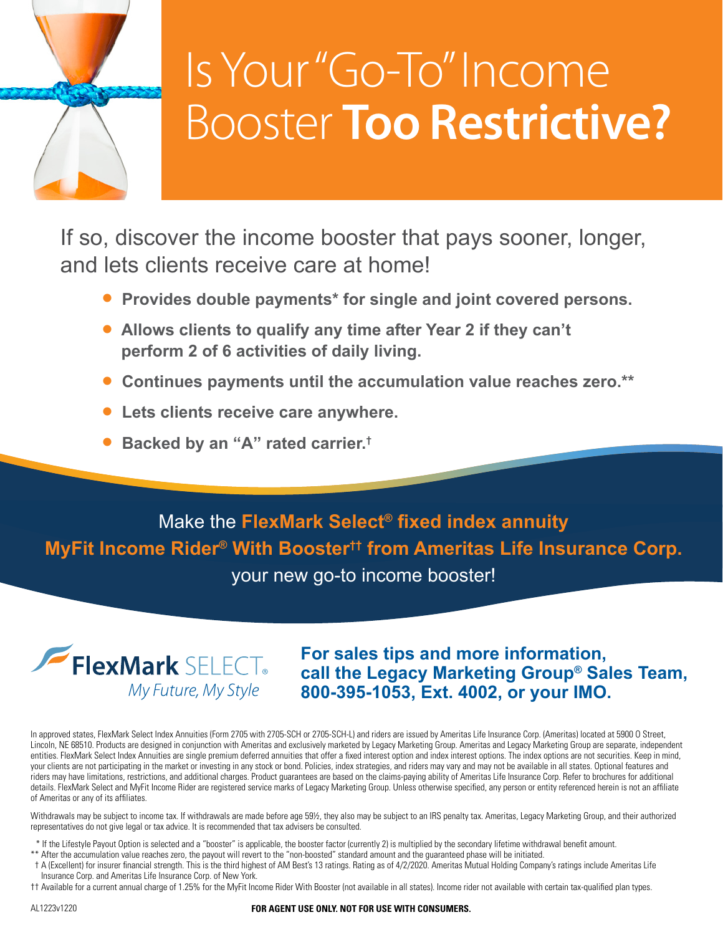

# Is Your "Go-To" Income Booster **Too Restrictive?**

If so, discover the income booster that pays sooner, longer, and lets clients receive care at home!

- **• Provides double payments\* for single and joint covered persons.**
- **• Allows clients to qualify any time after Year 2 if they can't perform 2 of 6 activities of daily living.**
- **• Continues payments until the accumulation value reaches zero.\*\***
- **• Lets clients receive care anywhere.**
- **• Backed by an "A" rated carrier.†**

Make the **FlexMark Select® fixed index annuity MyFit Income Rider® With Booster†† from Ameritas Life Insurance Corp.** your new go-to income booster!



**For sales tips and more information, call the Legacy Marketing Group® Sales Team, 800-395-1053, Ext. 4002, or your IMO.**

In approved states, FlexMark Select Index Annuities (Form 2705 with 2705-SCH or 2705-SCH-L) and riders are issued by Ameritas Life Insurance Corp. (Ameritas) located at 5900 O Street, Lincoln, NE 68510. Products are designed in conjunction with Ameritas and exclusively marketed by Legacy Marketing Group. Ameritas and Legacy Marketing Group are separate, independent entities. FlexMark Select Index Annuities are single premium deferred annuities that offer a fixed interest option and index interest options. The index options are not securities. Keep in mind, your clients are not participating in the market or investing in any stock or bond. Policies, index strategies, and riders may vary and may not be available in all states. Optional features and riders may have limitations, restrictions, and additional charges. Product guarantees are based on the claims-paying ability of Ameritas Life Insurance Corp. Refer to brochures for additional details. FlexMark Select and MyFit Income Rider are registered service marks of Legacy Marketing Group. Unless otherwise specified, any person or entity referenced herein is not an affiliate of Ameritas or any of its affiliates.

Withdrawals may be subject to income tax. If withdrawals are made before age 59½, they also may be subject to an IRS penalty tax. Ameritas, Legacy Marketing Group, and their authorized representatives do not give legal or tax advice. It is recommended that tax advisers be consulted.

- \* If the Lifestyle Payout Option is selected and a "booster" is applicable, the booster factor (currently 2) is multiplied by the secondary lifetime withdrawal benefit amount.
- \*\* After the accumulation value reaches zero, the payout will revert to the "non-boosted" standard amount and the guaranteed phase will be initiated.
- † A (Excellent) for insurer financial strength. This is the third highest of AM Best's 13 ratings. Rating as of 4/2/2020. Ameritas Mutual Holding Company's ratings include Ameritas Life Insurance Corp. and Ameritas Life Insurance Corp. of New York.
- †† Available for a current annual charge of 1.25% for the MyFit Income Rider With Booster (not available in all states). Income rider not available with certain tax-qualified plan types.

#### AL1223v1220 **FOR AGENT USE ONLY. NOT FOR USE WITH CONSUMERS.**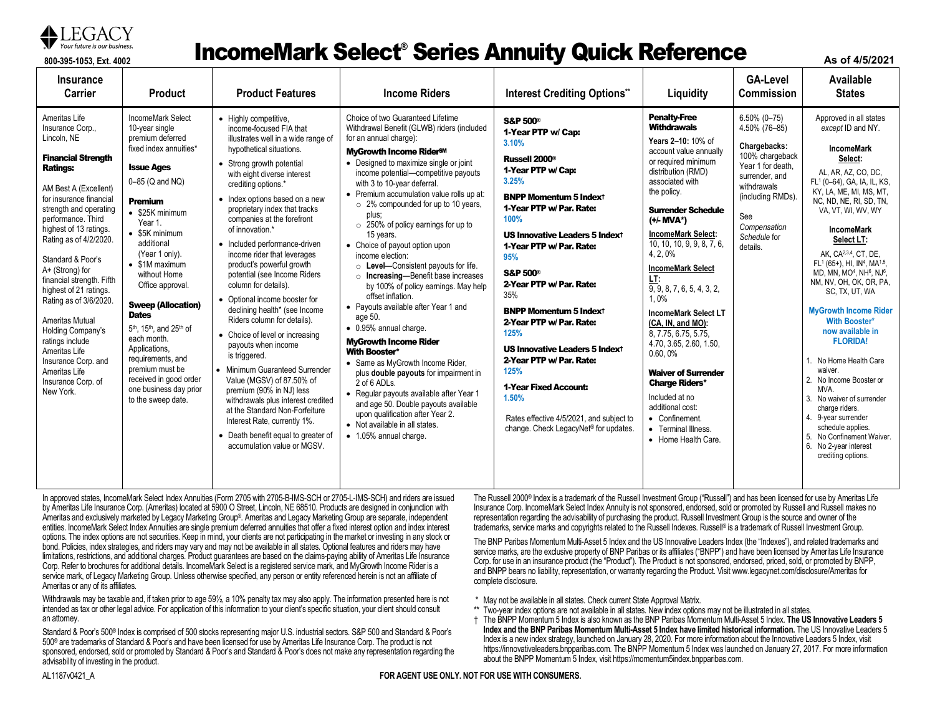

#### **87** Your future is our business. **Experience incomeMark Select® Series Annuity Quick Reference**

**As of 4/5/2021**

| <b>Insurance</b><br>Carrier                                                                                                                                                                                                                                                                                                                                                                                                                                                                                                            | <b>Product</b>                                                                                                                                                                                                                                                                                                                                                                                                                                                                                                                                                    | <b>Product Features</b>                                                                                                                                                                                                                                                                                                                                                                                                                                                                                                                                                                                                                                                                                                                                                                                                                                                                                                              | <b>Income Riders</b>                                                                                                                                                                                                                                                                                                                                                                                                                                                                                                                                                                                                                                                                                                                                                                                                                                                                                                                                                                                                                               | <b>Interest Crediting Options**</b>                                                                                                                                                                                                                                                                                                                                                                                                                                                                                                                                                                                   | Liquidity                                                                                                                                                                                                                                                                                                                                                                                                                                                                                                                                                                                                                                       | <b>GA-Level</b><br><b>Commission</b>                                                                                                                                                              | Available<br><b>States</b>                                                                                                                                                                                                                                                                                                                                                                                                                                                                                                                                                                                                                                                                                                                                                                                                           |
|----------------------------------------------------------------------------------------------------------------------------------------------------------------------------------------------------------------------------------------------------------------------------------------------------------------------------------------------------------------------------------------------------------------------------------------------------------------------------------------------------------------------------------------|-------------------------------------------------------------------------------------------------------------------------------------------------------------------------------------------------------------------------------------------------------------------------------------------------------------------------------------------------------------------------------------------------------------------------------------------------------------------------------------------------------------------------------------------------------------------|--------------------------------------------------------------------------------------------------------------------------------------------------------------------------------------------------------------------------------------------------------------------------------------------------------------------------------------------------------------------------------------------------------------------------------------------------------------------------------------------------------------------------------------------------------------------------------------------------------------------------------------------------------------------------------------------------------------------------------------------------------------------------------------------------------------------------------------------------------------------------------------------------------------------------------------|----------------------------------------------------------------------------------------------------------------------------------------------------------------------------------------------------------------------------------------------------------------------------------------------------------------------------------------------------------------------------------------------------------------------------------------------------------------------------------------------------------------------------------------------------------------------------------------------------------------------------------------------------------------------------------------------------------------------------------------------------------------------------------------------------------------------------------------------------------------------------------------------------------------------------------------------------------------------------------------------------------------------------------------------------|-----------------------------------------------------------------------------------------------------------------------------------------------------------------------------------------------------------------------------------------------------------------------------------------------------------------------------------------------------------------------------------------------------------------------------------------------------------------------------------------------------------------------------------------------------------------------------------------------------------------------|-------------------------------------------------------------------------------------------------------------------------------------------------------------------------------------------------------------------------------------------------------------------------------------------------------------------------------------------------------------------------------------------------------------------------------------------------------------------------------------------------------------------------------------------------------------------------------------------------------------------------------------------------|---------------------------------------------------------------------------------------------------------------------------------------------------------------------------------------------------|--------------------------------------------------------------------------------------------------------------------------------------------------------------------------------------------------------------------------------------------------------------------------------------------------------------------------------------------------------------------------------------------------------------------------------------------------------------------------------------------------------------------------------------------------------------------------------------------------------------------------------------------------------------------------------------------------------------------------------------------------------------------------------------------------------------------------------------|
| Ameritas Life<br>Insurance Corp<br>Lincoln, NE<br><b>Financial Strength</b><br><b>Ratings:</b><br>AM Best A (Excellent)<br>for insurance financial<br>strength and operating<br>performance. Third<br>highest of 13 ratings.<br>Rating as of 4/2/2020.<br>Standard & Poor's<br>A+ (Strong) for<br>financial strength. Fifth<br>highest of 21 ratings.<br>Rating as of 3/6/2020.<br>Ameritas Mutual<br>Holding Company's<br>ratings include<br>Ameritas Life<br>Insurance Corp. and<br>Ameritas Life<br>Insurance Corp. of<br>New York. | IncomeMark Select<br>10-year single<br>premium deferred<br>fixed index annuities*<br><b>Issue Ages</b><br>0-85 (Q and NQ)<br>Premium<br>$\bullet$ \$25K minimum<br>Year 1.<br>$\bullet$ \$5K minimum<br>additional<br>(Year 1 only).<br>$\bullet$ \$1M maximum<br>without Home<br>Office approval.<br><b>Sweep (Allocation)</b><br><b>Dates</b><br>5 <sup>th</sup> , 15 <sup>th</sup> , and 25 <sup>th</sup> of<br>each month.<br>Applications,<br>requirements, and<br>premium must be<br>received in good order<br>one business day prior<br>to the sweep date. | • Highly competitive.<br>income-focused FIA that<br>illustrates well in a wide range of<br>hypothetical situations.<br>• Strong growth potential<br>with eight diverse interest<br>crediting options.*<br>• Index options based on a new<br>proprietary index that tracks<br>companies at the forefront<br>of innovation.*<br>• Included performance-driven<br>income rider that leverages<br>product's powerful growth<br>potential (see Income Riders<br>column for details).<br>• Optional income booster for<br>declining health* (see Income<br>Riders column for details).<br>• Choice of level or increasing<br>payouts when income<br>is triggered.<br>• Minimum Guaranteed Surrender<br>Value (MGSV) of 87.50% of<br>premium (90% in NJ) less<br>withdrawals plus interest credited<br>at the Standard Non-Forfeiture<br>Interest Rate, currently 1%.<br>• Death benefit equal to greater of<br>accumulation value or MGSV. | Choice of two Guaranteed Lifetime<br>Withdrawal Benefit (GLWB) riders (included<br>for an annual charge):<br><b>MvGrowth Income RiderSM</b><br>• Designed to maximize single or joint<br>income potential-competitive payouts<br>with 3 to 10-year deferral.<br>• Premium accumulation value rolls up at:<br>○ 2% compounded for up to 10 years,<br>plus:<br>$\circ$ 250% of policy earnings for up to<br>15 years.<br>• Choice of payout option upon<br>income election:<br>○ Level-Consistent payouts for life.<br>o Increasing-Benefit base increases<br>by 100% of policy earnings. May help<br>offset inflation.<br>• Pavouts available after Year 1 and<br>age 50.<br>• 0.95% annual charge.<br><b>MyGrowth Income Rider</b><br><b>With Booster*</b><br>• Same as MyGrowth Income Rider,<br>plus <b>double payouts</b> for impairment in<br>2 of 6 ADLs.<br>• Reqular payouts available after Year 1<br>and age 50. Double payouts available<br>upon qualification after Year 2.<br>• Not available in all states.<br>• 1.05% annual charge. | <b>S&amp;P 500®</b><br>1-Year PTP w/ Cap:<br>3.10%<br>Russell 2000 <sup>®</sup><br>1-Year PTP w/ Cap:<br>3.25%<br><b>BNPP Momentum 5 Indext</b><br>1-Year PTP w/ Par. Rate:<br>100%<br><b>US Innovative Leaders 5 Indext</b><br>1-Year PTP w/ Par. Rate:<br>95%<br><b>S&amp;P 500®</b><br>2-Year PTP w/ Par. Rate:<br>35%<br><b>BNPP Momentum 5 Indext</b><br>2-Year PTP w/ Par. Rate:<br>125%<br><b>US Innovative Leaders 5 Indext</b><br>2-Year PTP w/ Par. Rate:<br>125%<br><b>1-Year Fixed Account:</b><br>1.50%<br>Rates effective 4/5/2021, and subject to<br>change. Check LegacyNet <sup>®</sup> for updates. | <b>Penalty-Free</b><br><b>Withdrawals</b><br>Years 2-10: 10% of<br>account value annually<br>or required minimum<br>distribution (RMD)<br>associated with<br>the policy.<br><b>Surrender Schedule</b><br>(+/- MVA*)<br><b>IncomeMark Select:</b><br>10, 10, 10, 9, 9, 8, 7, 6,<br>4, 2, 0%<br><b>IncomeMark Select</b><br>LT:<br>9, 9, 8, 7, 6, 5, 4, 3, 2,<br>1.0%<br><b>IncomeMark Select LT</b><br>(CA, IN, and MO):<br>8.7.75.6.75.5.75.<br>4.70, 3.65, 2.60, 1.50,<br>0.60,0%<br><b>Waiver of Surrender</b><br><b>Charge Riders*</b><br>Included at no<br>additional cost:<br>• Confinement.<br>• Terminal Illness.<br>• Home Health Care. | $6.50\%$ (0-75)<br>4.50% (76-85)<br>Chargebacks:<br>100% chargeback<br>Year 1 for death,<br>surrender, and<br>withdrawals<br>(including RMDs).<br>See<br>Compensation<br>Schedule for<br>details. | Approved in all states<br>except ID and NY.<br><b>IncomeMark</b><br>Select:<br>AL, AR, AZ, CO, DC,<br>FL <sup>1</sup> (0-64), GA, IA, IL, KS,<br>KY, LA, ME, MI, MS, MT,<br>NC, ND, NE, RI, SD, TN,<br>VA, VT, WI, WV, WY<br><b>IncomeMark</b><br>Select LT:<br>AK. CA <sup>2,3,4</sup> , CT. DE.<br>FL <sup>1</sup> (65+), HI, IN <sup>4</sup> , MA <sup>1,5</sup> ,<br>MD, MN, MO <sup>4</sup> , NH <sup>6</sup> , NJ <sup>6</sup> ,<br>NM, NV, OH, OK, OR, PA,<br>SC, TX, UT, WA<br><b>MyGrowth Income Rider</b><br><b>With Booster*</b><br>now available in<br><b>FLORIDA!</b><br>No Home Health Care<br>waiver.<br>No Income Booster or<br>2.<br>MVA.<br>No waiver of surrender<br>3.<br>charge riders.<br>4. 9-year surrender<br>schedule applies.<br>5. No Confinement Waiver.<br>6. No 2-year interest<br>crediting options. |

In approved states, IncomeMark Select Index Annuities (Form 2705 with 2705-B-IMS-SCH or 2705-L-IMS-SCH) and riders are issued by Ameritas Life Insurance Corp. (Ameritas) located at 5900 O Street, Lincoln, NE 68510. Products are designed in conjunction with Ameritas and exclusively marketed by Legacy Marketing Group®. Ameritas and Legacy Marketing Group are separate, independent entities. IncomeMark Select Index Annuities are single premium deferred annuities that offer a fixed interest option and index interest options. The index options are not securities. Keep in mind, your clients are not participating in the market or investing in any stock or bond. Policies, index strategies, and riders may vary and may not be available in all states. Optional features and riders may have limitations, restrictions, and additional charges. Product guarantees are based on the claims-paying ability of Ameritas Life Insurance Corp. Refer to brochures for additional details. IncomeMark Select is a registered service mark, and MyGrowth Income Rider is a service mark, of Legacy Marketing Group. Unless otherwise specified, any person or entity referenced herein is not an affiliate of Ameritas or any of its affiliates.

Withdrawals may be taxable and, if taken prior to age 59½, a 10% penalty tax may also apply. The information presented here is not intended as tax or other legal advice. For application of this information to your client's specific situation, your client should consult an attorney.

Standard & Poor's 500® Index is comprised of 500 stocks representing major U.S. industrial sectors. S&P 500 and Standard & Poor's 500® are trademarks of Standard & Poor's and have been licensed for use by Ameritas Life Insurance Corp. The product is not sponsored, endorsed, sold or promoted by Standard & Poor's and Standard & Poor's does not make any representation regarding the advisability of investing in the product.

The Russell 2000® Index is a trademark of the Russell Investment Group ("Russell") and has been licensed for use by Ameritas Life Insurance Corp. IncomeMark Select Index Annuity is not sponsored, endorsed, sold or promoted by Russell and Russell makes no representation regarding the advisability of purchasing the product. Russell Investment Group is the source and owner of the trademarks, service marks and copyrights related to the Russell Indexes. Russell® is a trademark of Russell Investment Group.

The BNP Paribas Momentum Multi-Asset 5 Index and the US Innovative Leaders Index (the "Indexes"), and related trademarks and service marks, are the exclusive property of BNP Paribas or its affiliates ("BNPP") and have been licensed by Ameritas Life Insurance Corp. for use in an insurance product (the "Product"). The Product is not sponsored, endorsed, priced, sold, or promoted by BNPP, and BNPP bears no liability, representation, or warranty regarding the Product. Visit www.legacynet.com/disclosure/Ameritas for complete disclosure.

- \* May not be available in all states. Check current State Approval Matrix.
- \*\* Two-year index options are not available in all states. New index options may not be illustrated in all states.
- † The BNPP Momentum 5 Index is also known as the BNP Paribas Momentum Multi-Asset 5 Index. **The US Innovative Leaders 5 Index and the BNP Paribas Momentum Multi-Asset 5 Index have limited historical information.** The US Innovative Leaders 5 [Index is a new index stra](https://innovativeleaders.bnpparibas.com/)tegy, launched on January 28, 2020. For more information about the Innovative Leaders 5 Index, visit https://innovativeleaders.bnpparibas.com. The BNPP Momentum 5 Index was launched on January 27, 2017. For more information about the BNPP Momentum 5 Index, visit https://momentum5index.bnpparibas.com.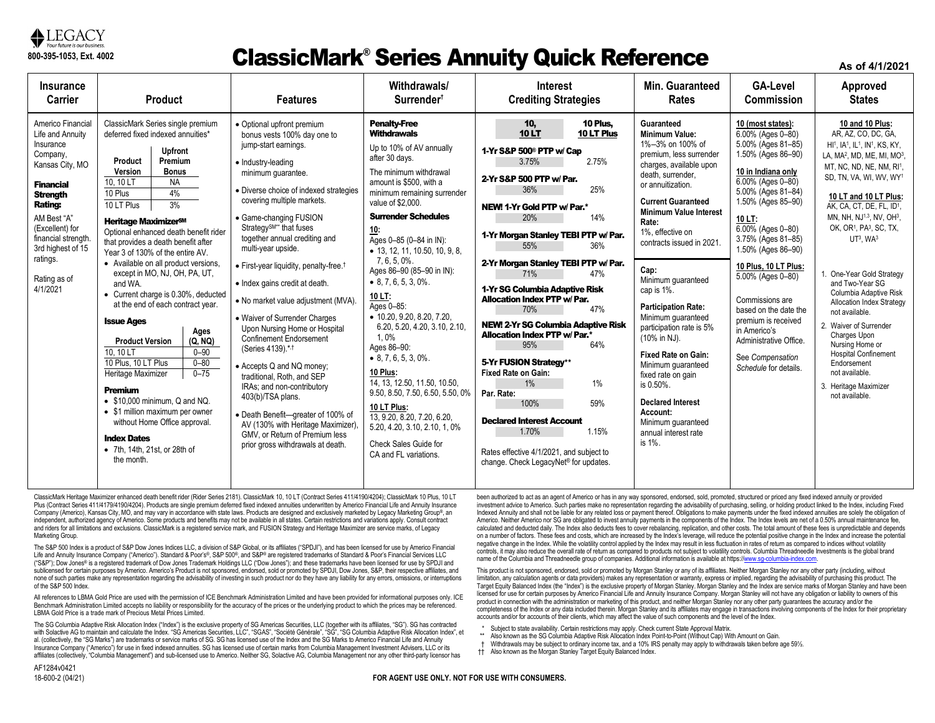

#### ClassicMark® Series Annuity Quick Reference

**As of 4/1/2021**

| Insurance                                                                                                                                                                                                                                                       | <b>Product</b>                                                                                                                                                                                                                                                                                                                                                                                                                                                                                                                                                                                                                                                                                                                                                                                                                                                                              |                                                                                                                                                                                                                                                                                                                                                                                                                                                                                                                                                                                                                                                                                                                                                                                                                                                       | Withdrawals/                                                                                                                                                                                                                                                                                                                                                                                                                                                                                                                                                                                                                                                                                                                          | <b>Interest</b>                                                                                                                                                                                                                                                                                                                                                                                                                                                                                                                                                                                                                                                                                                                                                 | Min. Guaranteed                                                                                                                                                                                                                                                                                                                                                                                                                                                                                                                                                                                                    | <b>GA-Level</b>                                                                                                                                                                                                                                                                                                                                                                                                                                                   | Approved                                                                                                                                                                                                                                                                                                                                                                                                                                                                                                                                                                                                                                                                                                                            |
|-----------------------------------------------------------------------------------------------------------------------------------------------------------------------------------------------------------------------------------------------------------------|---------------------------------------------------------------------------------------------------------------------------------------------------------------------------------------------------------------------------------------------------------------------------------------------------------------------------------------------------------------------------------------------------------------------------------------------------------------------------------------------------------------------------------------------------------------------------------------------------------------------------------------------------------------------------------------------------------------------------------------------------------------------------------------------------------------------------------------------------------------------------------------------|-------------------------------------------------------------------------------------------------------------------------------------------------------------------------------------------------------------------------------------------------------------------------------------------------------------------------------------------------------------------------------------------------------------------------------------------------------------------------------------------------------------------------------------------------------------------------------------------------------------------------------------------------------------------------------------------------------------------------------------------------------------------------------------------------------------------------------------------------------|---------------------------------------------------------------------------------------------------------------------------------------------------------------------------------------------------------------------------------------------------------------------------------------------------------------------------------------------------------------------------------------------------------------------------------------------------------------------------------------------------------------------------------------------------------------------------------------------------------------------------------------------------------------------------------------------------------------------------------------|-----------------------------------------------------------------------------------------------------------------------------------------------------------------------------------------------------------------------------------------------------------------------------------------------------------------------------------------------------------------------------------------------------------------------------------------------------------------------------------------------------------------------------------------------------------------------------------------------------------------------------------------------------------------------------------------------------------------------------------------------------------------|--------------------------------------------------------------------------------------------------------------------------------------------------------------------------------------------------------------------------------------------------------------------------------------------------------------------------------------------------------------------------------------------------------------------------------------------------------------------------------------------------------------------------------------------------------------------------------------------------------------------|-------------------------------------------------------------------------------------------------------------------------------------------------------------------------------------------------------------------------------------------------------------------------------------------------------------------------------------------------------------------------------------------------------------------------------------------------------------------|-------------------------------------------------------------------------------------------------------------------------------------------------------------------------------------------------------------------------------------------------------------------------------------------------------------------------------------------------------------------------------------------------------------------------------------------------------------------------------------------------------------------------------------------------------------------------------------------------------------------------------------------------------------------------------------------------------------------------------------|
| <b>Carrier</b>                                                                                                                                                                                                                                                  | <b>Features</b>                                                                                                                                                                                                                                                                                                                                                                                                                                                                                                                                                                                                                                                                                                                                                                                                                                                                             |                                                                                                                                                                                                                                                                                                                                                                                                                                                                                                                                                                                                                                                                                                                                                                                                                                                       | Surrender <sup>†</sup>                                                                                                                                                                                                                                                                                                                                                                                                                                                                                                                                                                                                                                                                                                                | <b>Crediting Strategies</b>                                                                                                                                                                                                                                                                                                                                                                                                                                                                                                                                                                                                                                                                                                                                     | <b>Rates</b>                                                                                                                                                                                                                                                                                                                                                                                                                                                                                                                                                                                                       | <b>Commission</b>                                                                                                                                                                                                                                                                                                                                                                                                                                                 | <b>States</b>                                                                                                                                                                                                                                                                                                                                                                                                                                                                                                                                                                                                                                                                                                                       |
| Americo Financial<br>Life and Annuity<br>Insurance<br>Company,<br>Kansas City, MO<br><b>Financial</b><br><b>Strength</b><br><b>Rating:</b><br>AM Best "A"<br>(Excellent) for<br>financial strength<br>3rd highest of 15<br>ratings.<br>Rating as of<br>4/1/2021 | ClassicMark Series single premium<br>deferred fixed indexed annuities*<br><b>Upfront</b><br>Premium<br>Product<br>Version<br><b>Bonus</b><br><b>NA</b><br>10.10 LT<br>4%<br>10 Plus<br>3%<br>10 LT Plus<br>Heritage Maximizer <sup>sM</sup><br>Optional enhanced death benefit rider<br>that provides a death benefit after<br>Year 3 of 130% of the entire AV.<br>• Available on all product versions,<br>except in MO, NJ, OH, PA, UT,<br>and WA.<br>• Current charge is 0.30%, deducted<br>at the end of each contract year.<br><b>Issue Ages</b><br>Ages<br>(Q, NQ)<br><b>Product Version</b><br>10.10 LT<br>$0 - 90$<br>10 Plus. 10 LT Plus<br>$0 - 80$<br>$0 - 75$<br>Heritage Maximizer<br>Premium<br>$\bullet$ \$10,000 minimum, Q and NQ.<br>• \$1 million maximum per owner<br>without Home Office approval.<br><b>Index Dates</b><br>• 7th, 14th, 21st, or 28th of<br>the month. | • Optional upfront premium<br>bonus vests 100% day one to<br>jump-start earnings.<br>• Industry-leading<br>minimum quarantee.<br>• Diverse choice of indexed strategies<br>covering multiple markets.<br>• Game-changing FUSION<br>Strategy <sup>SM**</sup> that fuses<br>together annual crediting and<br>multi-year upside.<br>• First-year liquidity, penalty-free. <sup>†</sup><br>• Index gains credit at death.<br>• No market value adjustment (MVA).<br>• Waiver of Surrender Charges<br>Upon Nursing Home or Hospital<br><b>Confinement Endorsement</b><br>(Series 4139).*.1<br>• Accepts Q and NQ money;<br>traditional. Roth, and SEP<br>IRAs; and non-contributory<br>403(b)/TSA plans.<br>• Death Benefit-qreater of 100% of<br>AV (130% with Heritage Maximizer)<br>GMV, or Return of Premium less<br>prior gross withdrawals at death. | <b>Penalty-Free</b><br><b>Withdrawals</b><br>Up to 10% of AV annually<br>after 30 days.<br>The minimum withdrawal<br>amount is \$500, with a<br>minimum remaining surrender<br>value of \$2,000.<br><b>Surrender Schedules</b><br>10:<br>Ages 0-85 (0-84 in IN):<br>• 13, 12, 11, 10.50, 10, 9, 8,<br>7, 6, 5, 0%.<br>Ages 86-90 (85-90 in IN):<br>$\bullet$ 8, 7, 6, 5, 3, 0%.<br>10 LT:<br>Ages 0-85:<br>• 10.20, 9.20, 8.20, 7.20,<br>6.20, 5.20, 4.20, 3.10, 2.10,<br>1.0%<br>Ages 86-90:<br>$\bullet$ 8.7.6.5.3.0%.<br>10 Plus:<br>14, 13, 12.50, 11.50, 10.50,<br>9.50, 8.50, 7.50, 6.50, 5.50, 0%<br>10 LT Plus:<br>13.9.20.8.20.7.20.6.20.<br>5.20, 4.20, 3.10, 2.10, 1, 0%<br>Check Sales Guide for<br>CA and FL variations. | 10 Plus.<br>10,<br><b>10LT</b><br>10 LT Plus<br>1-Yr S&P 500 <sup>®</sup> PTP w/ Cap<br>2.75%<br>3.75%<br>2-Yr S&P 500 PTP w/ Par.<br>25%<br>36%<br>NEW! 1-Yr Gold PTP w/ Par.*<br>20%<br>14%<br>1-Yr Morgan Stanley TEBI PTP w/ Par.<br>55%<br>36%<br>2-Yr Morgan Stanley TEBI PTP w/ Par.<br>71%<br>47%<br>1-Yr SG Columbia Adaptive Risk<br><b>Allocation Index PTP w/ Par.</b><br>70%<br>47%<br><b>NEW! 2-Yr SG Columbia Adaptive Risk</b><br><b>Allocation Index PTP w/ Par.*</b><br>95%<br>64%<br>5-Yr FUSION Strategy**<br><b>Fixed Rate on Gain:</b><br>$1\%$<br>1%<br>Par. Rate:<br>100%<br>59%<br><b>Declared Interest Account</b><br>1.15%<br>1.70%<br>Rates effective 4/1/2021, and subject to<br>change. Check LegacyNet <sup>®</sup> for updates. | Guaranteed<br><b>Minimum Value:</b><br>1%-3% on 100% of<br>premium. less surrender<br>charges, available upon<br>death, surrender,<br>or annuitization.<br><b>Current Guaranteed</b><br><b>Minimum Value Interest</b><br>Rate:<br>1%, effective on<br>contracts issued in 2021.<br>Cap:<br>Minimum quaranteed<br>cap is 1%.<br><b>Participation Rate:</b><br>Minimum quaranteed<br>participation rate is 5%<br>(10% in NJ).<br><b>Fixed Rate on Gain:</b><br>Minimum guaranteed<br>fixed rate on gain<br>is 0.50%.<br><b>Declared Interest</b><br>Account:<br>Minimum quaranteed<br>annual interest rate<br>is 1%. | 10 (most states):<br>6.00% (Ages 0-80)<br>5.00% (Ages 81-85)<br>1.50% (Ages 86-90)<br>10 in Indiana only<br>6.00% (Ages 0-80)<br>5.00% (Ages 81-84)<br>1.50% (Ages 85-90)<br>10 LT:<br>$6.00\%$ (Ages 0-80)<br>3.75% (Ages 81-85)<br>1.50% (Ages 86-90)<br>10 Plus, 10 LT Plus:<br>$5.00\%$ (Ages 0-80)<br>Commissions are<br>based on the date the<br>premium is received<br>in Americo's<br>Administrative Office.<br>See Compensation<br>Schedule for details. | 10 and 10 Plus:<br>AR, AZ, CO, DC, GA,<br>HI <sup>1</sup> , IA <sup>1</sup> , IL <sup>1</sup> , IN <sup>1</sup> , KS, KY,<br>LA, MA <sup>2</sup> , MD, ME, MI, MO <sup>3</sup> ,<br>MT, NC, ND, NE, NM, RI1,<br>SD, TN, VA, WI, WV, WY <sup>1</sup><br>10 LT and 10 LT Plus:<br>AK, CA, CT, DE, FL, ID1,<br>MN, NH, NJ <sup>1,3</sup> , NV, OH <sup>3</sup> ,<br>OK, OR <sup>1</sup> , PA <sup>3</sup> , SC, TX,<br>$UT3$ , WA $3$<br>1. One-Year Gold Strategy<br>and Two-Year SG<br>Columbia Adaptive Risk<br>Allocation Index Strategy<br>not available.<br>2. Waiver of Surrender<br>Charges Upon<br>Nursing Home or<br><b>Hospital Confinement</b><br>Endorsement<br>not available.<br>3. Heritage Maximizer<br>not available. |

ClassicMark Heritage Maximizer enhanced death benefit rider (Rider Series 2181). ClassicMark 10, 10 LT (Contract Series 411/4190/4204); ClassicMark 10 Plus, 10 LT Plus (Contract Series 411/4179/4190/4204). Products are single premium deferred fixed indexed annuities underwritten by Americo Financial Life and Annuity Insurance Company (Americo), Kansas City, MO, and may vary in accordance with state laws. Products are designed and exclusively marketed by Legacy Marketing Group®, an independent, authorized agency of Americo. Some products and benefits may not be available in all states. Certain restrictions and variations apply. Consult contract and riders for all limitations and exclusions. ClassicMark is a registered service mark, and FUSION Strategy and Heritage Maximizer are service marks, of Legacy Marketing Group.

The S&P 500 Index is a product of S&P Dow Jones Indices LLC, a division of S&P Global, or its affiliates ("SPDJI"), and has been licensed for use by Americo Financial Life and Annuity Insurance Company ("Americo"). Standard & Poor's®, S&P 500®, and S&P® are registered trademarks of Standard & Poor's Financial Services LLC ("S&P"); Dow Jones® is a registered trademark of Dow Jones Trademark Holdings LLC ("Dow Jones"); and these trademarks have been licensed for use by SPDJI and sublicensed for certain purposes by Americo. Americo's Product is not sponsored, endorsed, sold or promoted by SPDJI, Dow Jones, S&P, their respective affiliates, and none of such parties make any representation regarding the advisability of investing in such product nor do they have any liability for any errors, omissions, or interruptions of the S&P 500 Index.

All references to LBMA Gold Price are used with the permission of ICE Benchmark Administration Limited and have been provided for informational purposes only. ICE Benchmark Administration Limited accepts no liability or responsibility for the accuracy of the prices or the underlying product to which the prices may be referenced. LBMA Gold Price is a trade mark of Precious Metal Prices Limited.

The SG Columbia Adaptive Risk Allocation Index ("Index") is the exclusive property of SG Americas Securities, LLC (together with its affiliates, "SG"). SG has contracted with Solactive AG to maintain and calculate the Index. "SG Americas Securities, LLC", "SGAS", "Société Générale", "SG", "SG Columbia Adaptive Risk Allocation Index", et al. (collectively, the "SG Marks") are trademarks or service marks of SG. SG has licensed use of the Index and the SG Marks to Americo Financial Life and Annuity Insurance Company ("Americo") for use in fixed indexed annuities. SG has licensed use of certain marks from Columbia Management Investment Advisers, LLC or its affiliates (collectively, "Columbia Management") and sub-licensed use to Americo. Neither SG, Solactive AG, Columbia Management nor any other third-party licensor has

been authorized to act as an agent of Americo or has in any way sponsored, endorsed, sold, promoted, structured or priced any fixed indexed annuity or provided investment advice to Americo. Such parties make no representation regarding the advisability of purchasing, selling, or holding product linked to the Index, including Fixed Indexed Annuity and shall not be liable for any related loss or payment thereof. Obligations to make payments under the fixed indexed annuities are solely the obligation of Americo. Neither Americo nor SG are obligated to invest annuity payments in the components of the Index. The Index levels are net of a 0.50% annual maintenance fee, calculated and deducted daily. The Index also deducts fees to cover rebalancing, replication, and other costs. The total amount of these fees is unpredictable and depends on a number of factors. These fees and costs, which are increased by the Index's leverage, will reduce the potential positive change in the Index and increase the potential negative change in the Index. While the volatility control applied by the Index may result in less fluctuation in rates of return as compared to indices without volatility controls, it may also reduce the overall rate of return as compared to products not subject to volatility controls. Columbia Threadneedle Investments is the global brand name of the Columbia and Threadneedle group of companies. Additional information is available at https://www.sg-columbia-index.com

This product is not sponsored, endorsed, sold or promoted by Morgan Stanley or any of its affiliates. Neither Morgan Stanley nor any other party (including, without limitation, any calculation agents or data providers) makes any representation or warranty, express or implied, regarding the advisability of purchasing this product. The Target Equity Balanced Index (the "Index") is the exclusive property of Morgan Stanley. Morgan Stanley and the Index are service marks of Morgan Stanley and have been licensed for use for certain purposes by Americo Financial Life and Annuity Insurance Company. Morgan Stanley will not have any obligation or liability to owners of this product in connection with the administration or marketing of this product, and neither Morgan Stanley nor any other party guarantees the accuracy and/or the completeness of the Index or any data included therein. Morgan Stanley and its affiliates may engage in transactions involving components of the Index for their proprietary accounts and/or for accounts of their clients, which may affect the value of such components and the level of the Index.

- \* Subject to state availability. Certain restrictions may apply. Check current State Approval Matrix.
- \*\* Also known as the SG Columbia Adaptive Risk Allocation Index Point-to-Point (Without Cap) With Amount on Gain.
- Withdrawals may be subject to ordinary income tax, and a 10% IRS penalty may apply to withdrawals taken before age 591/2.
- †† Also known as the Morgan Stanley Target Equity Balanced Index.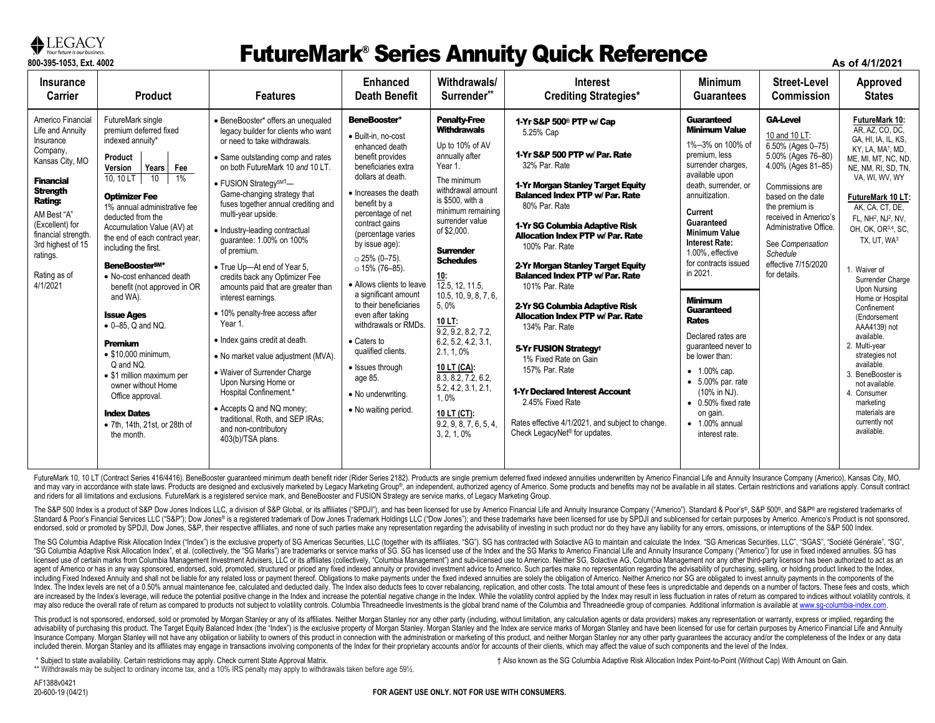

### **FLECTAC I**<br>800-395-1053, Ext. 4002<br>800-395-1053, Ext. 4002 **As of 4/1/2021**

| <b>Insurance</b><br><b>Carrier</b>                                                                                                                                                                                                                              | <b>Product</b>                                                                                                                                                                                                                                                                                                                                                                                                                                                                                                                                                                                                                                               | <b>Features</b>                                                                                                                                                                                                                                                                                                                                                                                                                                                                                                                                                                                                                                                                                                                                                                                                                                                 | <b>Enhanced</b><br>Death Benefit                                                                                                                                                                                                                                                                                                                                                                                                                                                                                                           | Withdrawals/<br>Surrender**                                                                                                                                                                                                                                                                                                                                                                                                                                                                                           | <b>Interest</b><br><b>Crediting Strategies*</b>                                                                                                                                                                                                                                                                                                                                                                                                                                                                                                                                                                                                                                                                                      | <b>Minimum</b><br><b>Guarantees</b>                                                                                                                                                                                                                                                                                                                                                                                                                                                                                                                           | <b>Street-Level</b><br>Commission                                                                                                                                                                                                                                                     | <b>Approved</b><br><b>States</b>                                                                                                                                                                                                                                                                                                                                                                                                                                                                                                                                                                      |
|-----------------------------------------------------------------------------------------------------------------------------------------------------------------------------------------------------------------------------------------------------------------|--------------------------------------------------------------------------------------------------------------------------------------------------------------------------------------------------------------------------------------------------------------------------------------------------------------------------------------------------------------------------------------------------------------------------------------------------------------------------------------------------------------------------------------------------------------------------------------------------------------------------------------------------------------|-----------------------------------------------------------------------------------------------------------------------------------------------------------------------------------------------------------------------------------------------------------------------------------------------------------------------------------------------------------------------------------------------------------------------------------------------------------------------------------------------------------------------------------------------------------------------------------------------------------------------------------------------------------------------------------------------------------------------------------------------------------------------------------------------------------------------------------------------------------------|--------------------------------------------------------------------------------------------------------------------------------------------------------------------------------------------------------------------------------------------------------------------------------------------------------------------------------------------------------------------------------------------------------------------------------------------------------------------------------------------------------------------------------------------|-----------------------------------------------------------------------------------------------------------------------------------------------------------------------------------------------------------------------------------------------------------------------------------------------------------------------------------------------------------------------------------------------------------------------------------------------------------------------------------------------------------------------|--------------------------------------------------------------------------------------------------------------------------------------------------------------------------------------------------------------------------------------------------------------------------------------------------------------------------------------------------------------------------------------------------------------------------------------------------------------------------------------------------------------------------------------------------------------------------------------------------------------------------------------------------------------------------------------------------------------------------------------|---------------------------------------------------------------------------------------------------------------------------------------------------------------------------------------------------------------------------------------------------------------------------------------------------------------------------------------------------------------------------------------------------------------------------------------------------------------------------------------------------------------------------------------------------------------|---------------------------------------------------------------------------------------------------------------------------------------------------------------------------------------------------------------------------------------------------------------------------------------|-------------------------------------------------------------------------------------------------------------------------------------------------------------------------------------------------------------------------------------------------------------------------------------------------------------------------------------------------------------------------------------------------------------------------------------------------------------------------------------------------------------------------------------------------------------------------------------------------------|
| Americo Financial<br>Life and Annuity<br>Insurance<br>Company,<br>Kansas City, MO<br><b>Financial</b><br><b>Strength</b><br><b>Rating:</b><br>AM Best "A"<br>(Excellent) for<br>financial strength<br>3rd highest of 15<br>ratings.<br>Rating as of<br>4/1/2021 | FutureMark single<br>premium deferred fixed<br>indexed annuity*<br>Product<br>Years Fee<br>Version<br>1%<br>10, 10 LT<br>10<br><b>Optimizer Fee</b><br>1% annual administrative fee<br>deducted from the<br>Accumulation Value (AV) at<br>the end of each contract year,<br>including the first.<br><b>BeneBoosterSM*</b><br>• No-cost enhanced death<br>benefit (not approved in OR<br>and WA).<br><b>Issue Ages</b><br>$\bullet$ 0-85. Q and NQ.<br><b>Premium</b><br>$\bullet$ \$10,000 minimum,<br>Q and NQ.<br>• \$1 million maximum per<br>owner without Home<br>Office approval.<br><b>Index Dates</b><br>• 7th, 14th, 21st, or 28th of<br>the month. | • BeneBooster* offers an unequaled<br>legacy builder for clients who want<br>or need to take withdrawals.<br>• Same outstanding comp and rates<br>on both FutureMark 10 and 10 LT.<br>• FUSION Strategy <sup>SM<sup>†</sup>-</sup><br>Game-changing strategy that<br>fuses together annual crediting and<br>multi-year upside.<br>· Industry-leading contractual<br>quarantee: 1.00% on 100%<br>of premium.<br>• True Up-At end of Year 5,<br>credits back any Optimizer Fee<br>amounts paid that are greater than<br>interest earnings.<br>· 10% penalty-free access after<br>Year 1.<br>• Index gains credit at death.<br>• No market value adjustment (MVA).<br>• Waiver of Surrender Charge<br>Upon Nursing Home or<br>Hospital Confinement.*<br>• Accepts Q and NQ money;<br>traditional, Roth, and SEP IRAs;<br>and non-contributory<br>403(b)/TSA plans. | BeneBooster*<br>· Built-in, no-cost<br>enhanced death<br>benefit provides<br>beneficiaries extra<br>dollars at death.<br>• Increases the death<br>benefit by a<br>percentage of net<br>contract gains<br>(percentage varies<br>by issue age):<br>$\circ$ 25% (0-75).<br>$\circ$ 15% (76-85).<br>• Allows clients to leave<br>a significant amount<br>to their beneficiaries<br>even after taking<br>withdrawals or RMDs.<br>• Caters to<br>qualified clients.<br>• Issues through<br>age 85.<br>• No underwriting.<br>• No waiting period. | <b>Penalty-Free</b><br><b>Withdrawals</b><br>Up to 10% of AV<br>annually after<br>Year 1.<br>The minimum<br>withdrawal amount<br>is \$500, with a<br>minimum remaining<br>surrender value<br>of \$2,000.<br><b>Surrender</b><br><b>Schedules</b><br>$\frac{10}{12.5}$ , 12, 11.5,<br>10.5, 10, 9, 8, 7, 6,<br>5.0%<br>10 LT:<br>9.2, 9.2, 8.2, 7.2,<br>6.2, 5.2, 4.2, 3.1,<br>2.1, 1, 0%<br>10 LT (CA):<br>8.3, 8.2, 7.2, 6.2,<br>5.2, 4.2, 3.1, 2.1,<br>1,0%<br>10 LT (CT):<br>9.2, 9, 8, 7, 6, 5, 4,<br>3, 2, 1, 0% | 1-Yr S&P 500 <sup>®</sup> PTP w/ Cap<br>5.25% Cap<br>1-Yr S&P 500 PTP w/ Par. Rate<br>32% Par. Rate<br>1-Yr Morgan Stanley Target Equity<br><b>Balanced Index PTP w/ Par. Rate</b><br>80% Par. Rate<br>1-Yr SG Columbia Adaptive Risk<br><b>Allocation Index PTP w/ Par. Rate</b><br>100% Par. Rate<br>2-Yr Morgan Stanley Target Equity<br><b>Balanced Index PTP w/ Par. Rate</b><br>101% Par. Rate<br>2-Yr SG Columbia Adaptive Risk<br>Allocation Index PTP w/ Par. Rate<br>134% Par. Rate<br>5-Yr FUSION Strategy <sup>t</sup><br>1% Fixed Rate on Gain<br>157% Par. Rate<br>1-Yr Declared Interest Account<br>2.45% Fixed Rate<br>Rates effective 4/1/2021, and subject to change.<br>Check LegacyNet <sup>®</sup> for updates. | Guaranteed<br><b>Minimum Value</b><br>1%-3% on 100% of<br>premium, less<br>surrender charges,<br>available upon<br>death, surrender, or<br>annuitization.<br>Current<br>Guaranteed<br><b>Minimum Value</b><br><b>Interest Rate:</b><br>1.00%, effective<br>for contracts issued<br>in 2021.<br><b>Minimum</b><br>Guaranteed<br><b>Rates</b><br>Declared rates are<br>quaranteed never to<br>be lower than:<br>• 1.00% cap.<br>$\bullet$ 5.00% par. rate<br>(10% in NJ).<br>$\bullet$ 0.50% fixed rate<br>on gain.<br>$\bullet$ 1.00% annual<br>interest rate. | <b>GA-Level</b><br>10 and 10 LT:<br>6.50% (Ages 0-75)<br>5.00% (Ages 76-80)<br>4.00% (Ages 81-85)<br>Commissions are<br>based on the date<br>the premium is<br>received in Americo's<br>Administrative Office.<br>See Compensation<br>Schedule<br>effective 7/15/2020<br>for details. | FutureMark 10:<br>AR. AZ. CO. DC.<br>GA, HI, IA, IL, KS,<br>KY, LA, MA <sup>1</sup> , MD,<br>ME, MI, MT, NC, ND,<br>NE, NM, RI, SD, TN,<br>VA, WI, WV, WY<br>FutureMark 10 LT:<br>AK, CA, CT, DE,<br>FL, NH <sup>2</sup> , NJ <sup>2</sup> , NV,<br>OH, OK, OR3,4, SC,<br>TX, UT, WA3<br>1. Waiver of<br>Surrender Charge<br><b>Upon Nursing</b><br>Home or Hospital<br>Confinement<br>(Endorsement<br>AAA4139) not<br>available.<br>2. Multi-year<br>strategies not<br>available.<br>3. BeneBooster is<br>not available.<br>4. Consumer<br>marketing<br>materials are<br>currently not<br>available. |

FutureMark 10, 10 LT (Contract Series 416/4416). BeneBooster guaranteed minimum death benefit rider (Rider Series 2182). Products are single premium deferred fixed indexed annuities underwritten by Americo Financial Life a and may vary in accordance with state laws. Products are designed and exclusively marketed by Legacy Marketing Group®, an independent, authorized agency of Americo. Some products and benefits may not be available in all st and riders for all limitations and exclusions. FutureMark is a registered service mark, and BeneBooster and FUSION Strategy are service marks, of Legacy Marketing Group.

The S&P 500 Index is a product of S&P Dow Jones Indices LLC, a division of S&P Global, or its affiliates ("SPDJI"), and has been licensed for use by Americo Financial Life and Annuity Insurance Company ("Americo"). Standar Standard & Poor's Financial Services LLC ("S&P"); Dow Jones® is a registered trademark of Dow Jones Trademark Holdings LLC ("Dow Jones"); and these trademarks have been licensed for use by SPDJI and sublicensed for certain endorsed, sold or promoted by SPDJI, Dow Jones, S&P, their respective affiliates, and none of such parties make any representation regarding the advisability of investing in such product nor do they have any liability for

The SG Columbia Adaptive Risk Allocation Index ("Index") is the exclusive property of SG Americas Securities, LLC (together with its affiliates, "SG"). SG has contracted with Solactive AG to maintain and calculate the Inde "SG Columbia Adaptive Risk Allocation Index", et al. (collectively, the "SG Marks") are trademarks or service marks of SG, SG has licensed use of the Index and the SG Marks to America Life and Annuity Insurance Company ("A licensed use of certain marks from Columbia Management Investment Advisers, LLC or its affiliates (collectively, "Columbia Management") and sub-licensed use to Americo. Neither SG, Solactive AG, Columbia Management nor any agent of Americo or has in any way sponsored, endorsed, sold, promoted, structured or priced any fixed indexed annuity or provided investment advice to Americo. Such parties make no representation regarding the advisabilit including Fixed Indexed Annuity and shall not be liable for any related loss or payment thereof. Obligations to make payments under the fixed indexed annuities are solely the obligation of Americo, Neither Americo nor SG a Index. The Index levels are net of a 0.50% annual maintenance fee, calculated and deducted daily. The Index also deducts fees to cover rebalancing, replication, and other costs. The total amount of these fees is unpredicta are increased by the Index's leverage, will reduce the potential positive change in the Index and increase the potential negative change in the Index. While the voltablity control applied by the Index may result in less fl may also reduce the overall rate of return as compared to products not subject to volatility controls. Columbia Threadneedle Investments is the global brand name of the Columbia and Threadneedle group of companies. Additio

This product is not sponsored, endorsed, sold or promoted by Morgan Stanley or any of its affiliates. Neither Morgan Stanley or any of its affiliates. Neither Morgan Stanley nor any other party (including, without limitati advisability of purchasing this product. The Target Equity Balanced Index (the "Index") is the exclusive property of Morgan Stanley. Morgan Stanley and the Index are service marks of Morgan Stanley and have been licensed f Insurance Company. Morgan Stanley will not have any obligation or liability to owners of this product in connection with the administration or marketing of this product, and neither Morgan Stanley nor any other party quara included therein. Morgan Stanley and its affiliates may engage in transactions involving components of the Index for their proprietary accounts and/or for accounts of their clients, which may affect the value of such compo

\* Subject to state availability. Certain restrictions may apply. Check current State Approval Matrix.

\*\* Withdrawals may be subject to ordinary income tax, and a 10% IRS penalty may apply to withdrawals taken before age 591/2.

† Also known as the SG Columbia Adaptive Risk Allocation Index Point-to-Point (Without Cap) With Amount on Gain.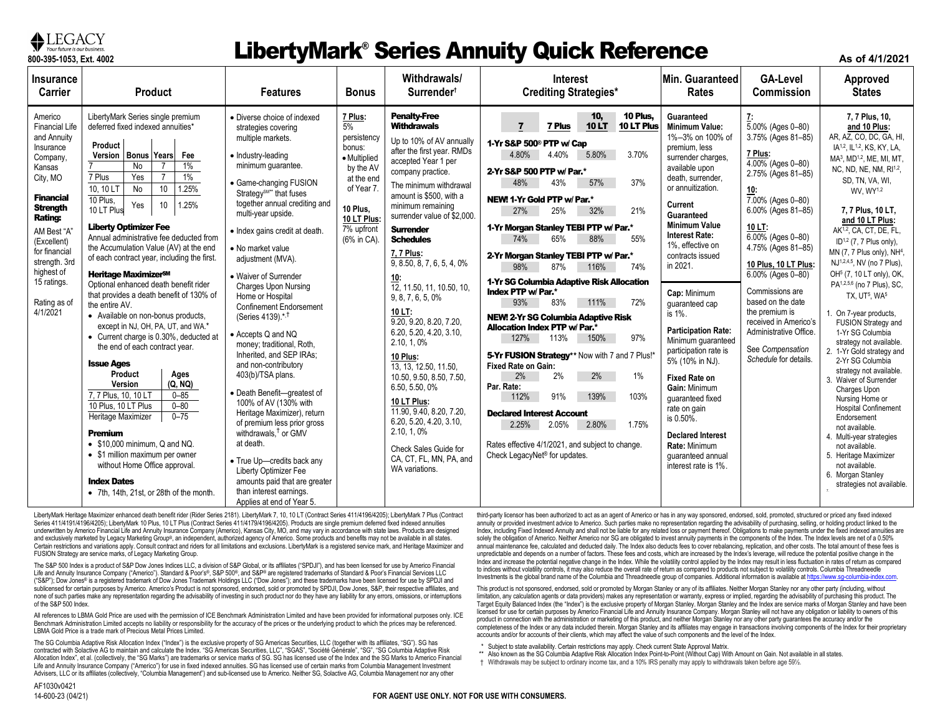

#### **The Construction Concerns Concerns Concerns and Series Annuity Quick Reference As of 4/1/2021**

| <b>Insurance</b>                                                                                                                                                                                                                                                                 | <b>Product</b>                                                                                                                                                                                                                                                                                                                                                                                                                                                                                                                                                                                                                                                                                                                                                                                                                                                                                                                                                                                                                                                                                                         |                                                                                                                                                                                                                                                                                                                                                                                                                                                                                                                                                                                                                                                                                                                                                                                                                                                                                                                           | <b>Bonus</b>                                                                                                                                           | Withdrawals/                                                                                                                                                                                                                                                                                                                                                                                                                                                                                                                                                                                                                                                                                                                    | <b>Interest</b>                                                                                                                                                                                                                                                                                                                                                                                                                                                                                                                                                                                                                                                                                                                                                                                                                                                                                                                                                      | Min. Guaranteed                                                                                                                                                                                                                                                                                                                                                                                                                                                                                                                                                                                                          | <b>GA-Level</b>                                                                                                                                                                                                                                                                                                                                                                                                             | Approved                                                                                                                                                                                                                                                                                                                                                                                                                                                                                                                                                                                                                                                                                                                                                                                                                                                                                                                                                                                                                           |
|----------------------------------------------------------------------------------------------------------------------------------------------------------------------------------------------------------------------------------------------------------------------------------|------------------------------------------------------------------------------------------------------------------------------------------------------------------------------------------------------------------------------------------------------------------------------------------------------------------------------------------------------------------------------------------------------------------------------------------------------------------------------------------------------------------------------------------------------------------------------------------------------------------------------------------------------------------------------------------------------------------------------------------------------------------------------------------------------------------------------------------------------------------------------------------------------------------------------------------------------------------------------------------------------------------------------------------------------------------------------------------------------------------------|---------------------------------------------------------------------------------------------------------------------------------------------------------------------------------------------------------------------------------------------------------------------------------------------------------------------------------------------------------------------------------------------------------------------------------------------------------------------------------------------------------------------------------------------------------------------------------------------------------------------------------------------------------------------------------------------------------------------------------------------------------------------------------------------------------------------------------------------------------------------------------------------------------------------------|--------------------------------------------------------------------------------------------------------------------------------------------------------|---------------------------------------------------------------------------------------------------------------------------------------------------------------------------------------------------------------------------------------------------------------------------------------------------------------------------------------------------------------------------------------------------------------------------------------------------------------------------------------------------------------------------------------------------------------------------------------------------------------------------------------------------------------------------------------------------------------------------------|----------------------------------------------------------------------------------------------------------------------------------------------------------------------------------------------------------------------------------------------------------------------------------------------------------------------------------------------------------------------------------------------------------------------------------------------------------------------------------------------------------------------------------------------------------------------------------------------------------------------------------------------------------------------------------------------------------------------------------------------------------------------------------------------------------------------------------------------------------------------------------------------------------------------------------------------------------------------|--------------------------------------------------------------------------------------------------------------------------------------------------------------------------------------------------------------------------------------------------------------------------------------------------------------------------------------------------------------------------------------------------------------------------------------------------------------------------------------------------------------------------------------------------------------------------------------------------------------------------|-----------------------------------------------------------------------------------------------------------------------------------------------------------------------------------------------------------------------------------------------------------------------------------------------------------------------------------------------------------------------------------------------------------------------------|------------------------------------------------------------------------------------------------------------------------------------------------------------------------------------------------------------------------------------------------------------------------------------------------------------------------------------------------------------------------------------------------------------------------------------------------------------------------------------------------------------------------------------------------------------------------------------------------------------------------------------------------------------------------------------------------------------------------------------------------------------------------------------------------------------------------------------------------------------------------------------------------------------------------------------------------------------------------------------------------------------------------------------|
| Carrier                                                                                                                                                                                                                                                                          | <b>Features</b>                                                                                                                                                                                                                                                                                                                                                                                                                                                                                                                                                                                                                                                                                                                                                                                                                                                                                                                                                                                                                                                                                                        |                                                                                                                                                                                                                                                                                                                                                                                                                                                                                                                                                                                                                                                                                                                                                                                                                                                                                                                           |                                                                                                                                                        | Surrender <sup>t</sup>                                                                                                                                                                                                                                                                                                                                                                                                                                                                                                                                                                                                                                                                                                          | <b>Crediting Strategies*</b>                                                                                                                                                                                                                                                                                                                                                                                                                                                                                                                                                                                                                                                                                                                                                                                                                                                                                                                                         | Rates                                                                                                                                                                                                                                                                                                                                                                                                                                                                                                                                                                                                                    | Commission                                                                                                                                                                                                                                                                                                                                                                                                                  | <b>States</b>                                                                                                                                                                                                                                                                                                                                                                                                                                                                                                                                                                                                                                                                                                                                                                                                                                                                                                                                                                                                                      |
| Americo<br><b>Financial Life</b><br>and Annuity<br>Insurance<br>Company.<br>Kansas<br>City, MO<br><b>Financial</b><br><b>Strength</b><br><b>Rating:</b><br>AM Best "A"<br>(Excellent)<br>for financial<br>strength. 3rd<br>highest of<br>15 ratings.<br>Rating as of<br>4/1/2021 | LibertyMark Series single premium<br>deferred fixed indexed annuities*<br>Product<br>Version   Bonus   Years<br>Fee<br>1%<br>No<br>$\overline{7}$<br>$\overline{7}$<br>$1\%$<br>7 Plus<br>Yes<br>10<br>1.25%<br>No<br>10.10 LT<br>10 Plus.<br>1.25%<br>Yes<br>10<br>10 LT Plus<br><b>Liberty Optimizer Fee</b><br>Annual administrative fee deducted from<br>the Accumulation Value (AV) at the end<br>of each contract year, including the first.<br>Heritage Maximizer <sup>sM</sup><br>Optional enhanced death benefit rider<br>that provides a death benefit of 130% of<br>the entire AV.<br>• Available on non-bonus products,<br>except in NJ, OH, PA, UT, and WA.*<br>• Current charge is 0.30%, deducted at<br>the end of each contract year.<br><b>Issue Ages</b><br>Product<br>Ages<br>Version<br>(Q, NQ)<br>$0 - 85$<br>7, 7 Plus, 10, 10 LT<br>10 Plus, 10 LT Plus<br>$0 - 80$<br>$0 - 75$<br>Heritage Maximizer<br>Premium<br>$\bullet$ \$10,000 minimum, Q and NQ.<br>• \$1 million maximum per owner<br>without Home Office approval.<br><b>Index Dates</b><br>• 7th, 14th, 21st, or 28th of the month. | • Diverse choice of indexed<br>strategies covering<br>multiple markets.<br>• Industry-leading<br>minimum guarantee.<br>• Game-changing FUSION<br>Strategy <sup>SM**</sup> that fuses<br>together annual crediting and<br>multi-year upside.<br>• Index gains credit at death.<br>• No market value<br>adjustment (MVA).<br>• Waiver of Surrender<br><b>Charges Upon Nursing</b><br>Home or Hospital<br><b>Confinement Endorsement</b><br>(Series 4139).*. <sup>†</sup><br>• Accepts Q and NQ<br>money; traditional, Roth,<br>Inherited, and SEP IRAs:<br>and non-contributory<br>403(b)/TSA plans.<br>· Death Benefit-greatest of<br>100% of AV (130% with<br>Heritage Maximizer), return<br>of premium less prior gross<br>withdrawals, <sup>†</sup> or GMV<br>at death.<br>• True Up-credits back any<br>Liberty Optimizer Fee<br>amounts paid that are greater<br>than interest earnings.<br>Applies at end of Year 5. | 7 Plus:<br>5%<br>persistency<br>bonus:<br>• Multiplied<br>by the AV<br>at the end<br>of Year 7<br>10 Plus.<br>10 LT Plus:<br>7% upfront<br>(6% in CA). | <b>Penalty-Free</b><br><b>Withdrawals</b><br>Up to 10% of AV annually<br>after the first year. RMDs<br>accepted Year 1 per<br>company practice.<br>The minimum withdrawal<br>amount is \$500, with a<br>minimum remaining<br>surrender value of \$2,000.<br><b>Surrender</b><br><b>Schedules</b><br>7, 7 Plus:<br>9, 8.50, 8, 7, 6, 5, 4, 0%<br>10:<br>12, 11.50, 11, 10.50, 10,<br>9, 8, 7, 6, 5, 0%<br>10 LT:<br>9.20. 9.20. 8.20. 7.20.<br>6.20, 5.20, 4.20, 3.10.<br>2.10, 1, 0%<br>10 Plus:<br>13. 13. 12.50. 11.50.<br>10.50, 9.50, 8.50, 7.50,<br>6.50, 5.50, 0%<br>10 LT Plus:<br>11.90.9.40.8.20.7.20.<br>6.20, 5.20, 4.20, 3.10,<br>2.10, 1, 0%<br>Check Sales Guide for<br>CA. CT. FL. MN. PA. and<br>WA variations. | 10 Plus.<br>10 <sub>1</sub><br>$\overline{7}$<br>10LT<br>10 LT Plus<br><b>7 Plus</b><br>1-Yr S&P 500 <sup>®</sup> PTP w/ Cap<br>4.80%<br>5.80%<br>3.70%<br>4.40%<br>2-Yr S&P 500 PTP w/ Par.*<br>37%<br>48%<br>43%<br>57%<br>NEW! 1-Yr Gold PTP w/ Par.*<br>21%<br>27%<br>25%<br>32%<br>1-Yr Morgan Stanley TEBI PTP w/ Par.*<br>55%<br>74%<br>65%<br>88%<br>2-Yr Morgan Stanley TEBI PTP w/ Par.*<br>74%<br>98%<br>87%<br>116%<br>1-Yr SG Columbia Adaptive Risk Allocation<br>Index PTP w/ Par.*<br>111%<br>93%<br>83%<br>72%<br><b>NEW! 2-Yr SG Columbia Adaptive Risk</b><br>Allocation Index PTP w/ Par.*<br>97%<br>127%<br>113%<br>150%<br>5-Yr FUSION Strategy** Now with 7 and 7 Plus!'<br>Fixed Rate on Gain:<br>2%<br>2%<br>1%<br>2%<br>Par. Rate:<br>139%<br>91%<br>103%<br>112%<br><b>Declared Interest Account</b><br>1.75%<br>2.80%<br>2.25%<br>2.05%<br>Rates effective 4/1/2021, and subject to change.<br>Check LegacyNet <sup>®</sup> for updates. | Guaranteed<br><b>Minimum Value:</b><br>1%-3% on 100% of<br>premium, less<br>surrender charges.<br>available upon<br>death, surrender,<br>or annuitization.<br>Current<br>Guaranteed<br><b>Minimum Value</b><br><b>Interest Rate:</b><br>1%, effective on<br>contracts issued<br>in 2021.<br>Cap: Minimum<br>quaranteed cap<br>is 1%.<br><b>Participation Rate:</b><br>Minimum quaranteed<br>participation rate is<br>5% (10% in NJ).<br><b>Fixed Rate on</b><br>Gain: Minimum<br>quaranteed fixed<br>rate on gain<br>is 0.50%.<br><b>Declared Interest</b><br>Rate: Minimum<br>quaranteed annual<br>interest rate is 1%. | 7:<br>5.00% (Ages 0–80)<br>3.75% (Ages 81-85)<br>7 Plus:<br>4.00% (Ages 0-80)<br>2.75% (Ages 81-85)<br><u>10:</u><br>7.00% (Ages 0-80)<br>6.00% (Ages 81-85)<br>$10 L$ T:<br>6.00% (Ages 0-80)<br>4.75% (Ages 81-85)<br>10 Plus, 10 LT Plus:<br>6.00% (Ages 0-80)<br>Commissions are<br>based on the date<br>the premium is<br>received in Americo's<br>Administrative Office.<br>See Compensation<br>Schedule for details. | 7.7 Plus, 10.<br>and 10 Plus:<br>AR, AZ, CO, DC, GA, HI,<br>IA <sup>1,2</sup> , IL <sup>1,2</sup> , KS, KY, LA,<br>MA <sup>3</sup> , MD <sup>1,2</sup> , ME, MI, MT,<br>NC, ND, NE, NM, RI <sup>1,2</sup> ,<br>SD, TN, VA, WI,<br>WV. WY <sup>1,2</sup><br>7, 7 Plus, 10 LT,<br>and 10 LT Plus:<br>AK <sup>1,2</sup> , CA, CT, DE, FL,<br>ID <sup>1,2</sup> (7, 7 Plus only),<br>MN (7, 7 Plus only), NH <sup>4</sup> ,<br>NJ <sup>1,2,4,5</sup> , NV (no 7 Plus),<br>OH <sup>5</sup> (7, 10 LT only), OK,<br>PA1,2,5,6 (no 7 Plus), SC,<br>TX. UT <sup>5</sup> . WA <sup>5</sup><br>On 7-year products,<br>FUSION Strategy and<br>1-Yr SG Columbia<br>strategy not available.<br>2. 1-Yr Gold strategy and<br>2-Yr SG Columbia<br>strategy not available.<br>3. Waiver of Surrender<br>Charges Upon<br>Nursing Home or<br><b>Hospital Confinement</b><br>Endorsement<br>not available.<br>4. Multi-year strategies<br>not available.<br>5. Heritage Maximizer<br>not available.<br>6. Morgan Stanley<br>strategies not available. |

LibertyMark Heritage Maximizer enhanced death benefit rider (Rider Series 2181). LibertyMark 7, 10, 10 LT (Contract Series 411/4196/4205); LibertyMark 7 Plus (Contract Series 411/4191/4196/4205); LibertyMark 10 Plus, 10 LT Plus (Contract Series 411/4179/4196/4205). Products are single premium deferred fixed indexed annuities underwritten by Americo Financial Life and Annuity Insurance Company (Americo), Kansas City, MO, and may vary in accordance with state laws. Products are designed and exclusively marketed by Legacy Marketing Group®, an independent, authorized agency of Americo. Some products and benefits may not be available in all states. Certain restrictions and variations apply. Consult contract and riders for all limitations and exclusions. LibertyMark is a registered service mark, and Heritage Maximizer and FUSION Strategy are service marks, of Legacy Marketing Group.

The S&P 500 Index is a product of S&P Dow Jones Indices LLC, a division of S&P Global, or its affiliates ("SPDJI"), and has been licensed for use by Americo Financial Life and Annuity Insurance Company ("Americo"). Standard & Poor's®, S&P 500®, and S&P® are registered trademarks of Standard & Poor's Financial Services LLC ("S&P"); Dow Jones® is a registered trademark of Dow Jones Trademark Holdings LLC ("Dow Jones"); and these trademarks have been licensed for use by SPDJI and sublicensed for certain purposes by Americo. Americo's Product is not sponsored, endorsed, sold or promoted by SPDJI, Dow Jones, S&P, their respective affiliates, and none of such parties make any representation regarding the advisability of investing in such product nor do they have any liability for any errors, omissions, or interruptions of the S&P 500 Index.

All references to LBMA Gold Price are used with the permission of ICE Benchmark Administration Limited and have been provided for informational purposes only. ICE Benchmark Administration Limited accepts no liability or responsibility for the accuracy of the prices or the underlying product to which the prices may be referenced. LBMA Gold Price is a trade mark of Precious Metal Prices Limited.

The SG Columbia Adaptive Risk Allocation Index ("Index") is the exclusive property of SG Americas Securities, LLC (together with its affiliates, "SG"). SG has contracted with Solactive AG to maintain and calculate the Index. "SG Americas Securities, LLC", "SGAS", "Société Générale", "SG", "SG Columbia Adaptive Risk Allocation Index", et al. (collectively, the "SG Marks") are trademarks or service marks of SG. SG has licensed use of the Index and the SG Marks to Americo Financial Life and Annuity Insurance Company ("Americo") for use in fixed indexed annuities. SG has licensed use of certain marks from Columbia Management Investment Advisers, LLC or its affiliates (collectively, "Columbia Management") and sub-licensed use to Americo. Neither SG, Solactive AG, Columbia Management nor any other

third-party licensor has been authorized to act as an agent of Americo or has in any way sponsored, endorsed, sold, promoted, structured or priced any fixed indexed annuity or provided investment advice to Americo. Such parties make no representation regarding the advisability of purchasing, selling, or holding product linked to the Index, including Fixed Indexed Annuity and shall not be liable for any related loss or payment thereof. Obligations to make payments under the fixed indexed annuities are solely the obligation of Americo. Neither Americo nor SG are obligated to invest annuity payments in the components of the Index. The Index levels are net of a 0.50% annual maintenance fee, calculated and deducted daily. The Index also deducts fees to cover rebalancing, replication, and other costs. The total amount of these fees is unpredictable and depends on a number of factors. These fees and costs, which are increased by the Index's leverage, will reduce the potential positive change in the Index and increase the potential negative change in the Index. While the volatility control applied by the Index may result in less fluctuation in rates of return as compared to indices without volatility controls, it may also reduce the overall rate of return as compared to products not subject to volatility controls. Columbia Threadneedle Investments is the global brand name of the Columbia and Threadneedle group of companies. Additional information is available at https

This product is not sponsored, endorsed, sold or promoted by Morgan Stanley or any of its affiliates. Neither Morgan Stanley nor any other party (including, without limitation, any calculation agents or data providers) makes any representation or warranty, express or implied, regarding the advisability of purchasing this product. The Target Equity Balanced Index (the "Index") is the exclusive property of Morgan Stanley. Morgan Stanley and the Index are service marks of Morgan Stanley and have been licensed for use for certain purposes by Americo Financial Life and Annuity Insurance Company. Morgan Stanley will not have any obligation or liability to owners of this product in connection with the administration or marketing of this product, and neither Morgan Stanley nor any other party guarantees the accuracy and/or the completeness of the Index or any data included therein. Morgan Stanley and its affiliates may engage in transactions involving components of the Index for their proprietary accounts and/or for accounts of their clients, which may affect the value of such components and the level of the Index.

- \* Subject to state availability. Certain restrictions may apply. Check current State Approval Matrix.
- \*\* Also known as the SG Columbia Adaptive Risk Allocation Index Point-to-Point (Without Cap) With Amount on Gain. Not available in all states.
- † Withdrawals may be subject to ordinary income tax, and a 10% IRS penalty may apply to withdrawals taken before age 59½.